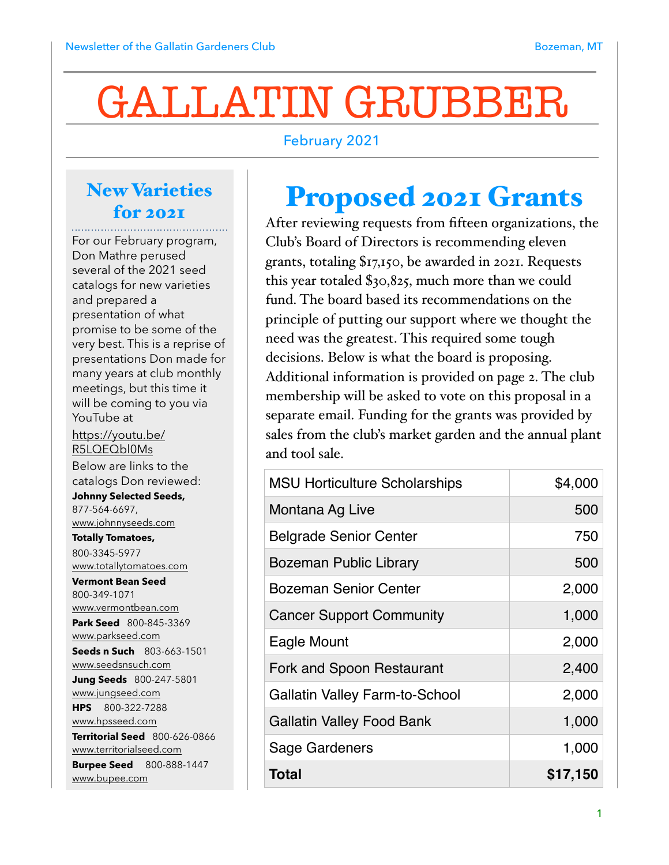# GALLATIN GRUBBER

#### February 2021

#### New Varieties for 2021

For our February program, Don Mathre perused several of the 2021 seed catalogs for new varieties and prepared a presentation of what promise to be some of the very best. This is a reprise of presentations Don made for many years at club monthly meetings, but this time it will be coming to you via YouTube at [https://youtu.be/](https://youtu.be/R5LQEQbl0Ms) [R5LQEQbl0Ms](https://youtu.be/R5LQEQbl0Ms) Below are links to the catalogs Don reviewed: **Johnny Selected Seeds,**  877-564-6697, [www.johnnyseeds.com](http://www.johnnyseeds.com) **Totally Tomatoes,**  800-3345-5977 [www.totallytomatoes.com](http://www.totallytomatoes.com) **Vermont Bean Seed** 800-349-1071 [www.vermontbean.com](http://www.vermontbean.com) **Park Seed** 800-845-3369 [www.parkseed.com](http://www.parkseed.com) **Seeds n Such** 803-663-1501 [www.seedsnsuch.com](http://www.seedsnsuch.com) **Jung Seeds** 800-247-5801 [www.jungseed.com](http://www.jungseed.com) **HPS** 800-322-7288 [www.hpsseed.com](http://www.hpsseed.com) **Territorial Seed** 800-626-0866 [www.territorialseed.com](http://www.territorialseed.com) **Burpee Seed** 800-888-1447 [www.bupee.com](http://www.bupee.com)

### Proposed 2021 Grants

After reviewing requests from fifteen organizations, the Club's Board of Directors is recommending eleven grants, totaling \$17,150, be awarded in 2021. Requests this year totaled \$30,825, much more than we could fund. The board based its recommendations on the principle of putting our support where we thought the need was the greatest. This required some tough decisions. Below is what the board is proposing. Additional information is provided on page 2. The club membership will be asked to vote on this proposal in a separate email. Funding for the grants was provided by sales from the club's market garden and the annual plant and tool sale.

| <b>MSU Horticulture Scholarships</b>  | \$4,000  |
|---------------------------------------|----------|
| Montana Ag Live                       | 500      |
| <b>Belgrade Senior Center</b>         | 750      |
| <b>Bozeman Public Library</b>         | 500      |
| <b>Bozeman Senior Center</b>          | 2,000    |
| <b>Cancer Support Community</b>       | 1,000    |
| Eagle Mount                           | 2,000    |
| Fork and Spoon Restaurant             | 2,400    |
| <b>Gallatin Valley Farm-to-School</b> | 2,000    |
| <b>Gallatin Valley Food Bank</b>      | 1,000    |
| Sage Gardeners                        | 1,000    |
| <b>Total</b>                          | \$17,150 |